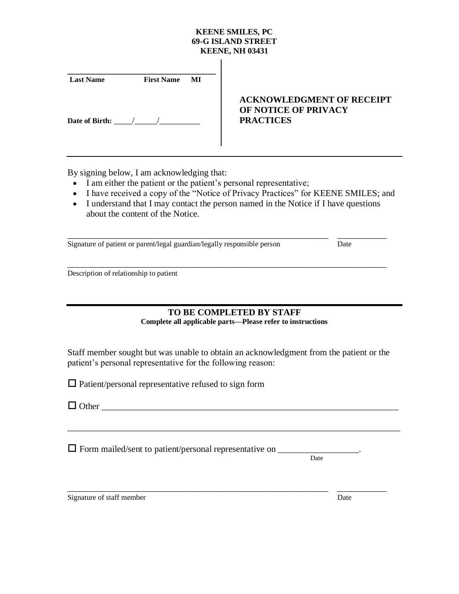## **KEENE SMILES, PC 69-G ISLAND STREET KEENE, NH 03431**

 $\overline{1}$ 

| <b>Last Name</b> | <b>First Name</b> MI |                                                                              |
|------------------|----------------------|------------------------------------------------------------------------------|
| Date of Birth:   |                      | <b>ACKNOWLEDGMENT OF RECEIPT</b><br>OF NOTICE OF PRIVACY<br><b>PRACTICES</b> |

By signing below, I am acknowledging that:

- I am either the patient or the patient's personal representative;
- I have received a copy of the "Notice of Privacy Practices" for KEENE SMILES; and
- I understand that I may contact the person named in the Notice if I have questions about the content of the Notice.

Signature of patient or parent/legal guardian/legally responsible person Date

\_\_\_\_\_\_\_\_\_\_\_\_\_\_\_\_\_\_\_\_\_\_\_\_\_\_\_\_\_\_\_\_\_\_\_\_\_\_\_\_\_\_\_\_\_\_\_\_\_\_\_\_\_\_\_\_\_\_\_\_\_\_\_\_\_\_\_\_\_\_\_ Description of relationship to patient

# **TO BE COMPLETED BY STAFF Complete all applicable parts—Please refer to instructions**

Staff member sought but was unable to obtain an acknowledgment from the patient or the patient's personal representative for the following reason:

\_\_\_\_\_\_\_\_\_\_\_\_\_\_\_\_\_\_\_\_\_\_\_\_\_\_\_\_\_\_\_\_\_\_\_\_\_\_\_\_\_\_\_\_\_\_\_\_\_\_\_\_\_\_\_\_\_\_\_\_\_\_\_\_\_\_\_\_\_\_\_\_\_\_

 $\Box$  Patient/personal representative refused to sign form

Other \_\_\_\_\_\_\_\_\_\_\_\_\_\_\_\_\_\_\_\_\_\_\_\_\_\_\_\_\_\_\_\_\_\_\_\_\_\_\_\_\_\_\_\_\_\_\_\_\_\_\_\_\_\_\_\_\_\_\_\_\_\_\_\_\_\_

 $\Box$  Form mailed/sent to patient/personal representative on  $\Box$ 

Date

Signature of staff member Date Date Date Date Date

\_\_\_\_\_\_\_\_\_\_\_\_\_\_\_\_\_\_\_\_\_\_\_\_\_\_\_\_\_\_\_\_\_\_\_\_\_\_\_\_\_\_\_\_\_\_\_\_\_\_\_\_\_\_\_\_\_\_ \_\_\_\_\_\_\_\_\_\_\_

\_\_\_\_\_\_\_\_\_\_\_\_\_\_\_\_\_\_\_\_\_\_\_\_\_\_\_\_\_\_\_\_\_\_\_\_\_\_\_\_\_\_\_\_\_\_\_\_\_\_\_\_\_\_\_\_\_\_ \_\_\_\_\_\_\_\_\_\_\_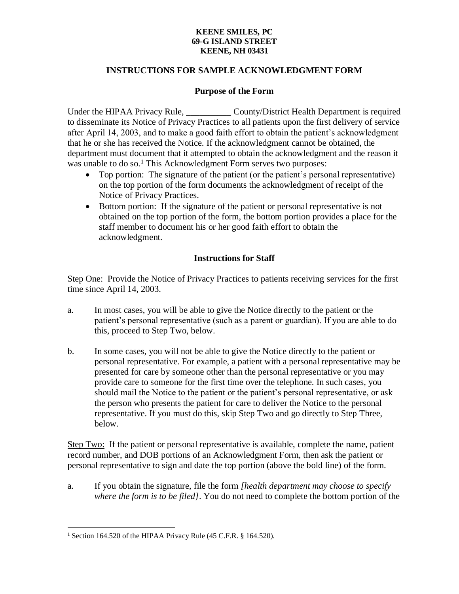### **KEENE SMILES, PC 69-G ISLAND STREET KEENE, NH 03431**

# **INSTRUCTIONS FOR SAMPLE ACKNOWLEDGMENT FORM**

## **Purpose of the Form**

Under the HIPAA Privacy Rule, County/District Health Department is required to disseminate its Notice of Privacy Practices to all patients upon the first delivery of service after April 14, 2003, and to make a good faith effort to obtain the patient's acknowledgment that he or she has received the Notice. If the acknowledgment cannot be obtained, the department must document that it attempted to obtain the acknowledgment and the reason it was unable to do so.<sup>1</sup> This Acknowledgment Form serves two purposes:

- Top portion: The signature of the patient (or the patient's personal representative) on the top portion of the form documents the acknowledgment of receipt of the Notice of Privacy Practices.
- Bottom portion: If the signature of the patient or personal representative is not obtained on the top portion of the form, the bottom portion provides a place for the staff member to document his or her good faith effort to obtain the acknowledgment.

# **Instructions for Staff**

Step One: Provide the Notice of Privacy Practices to patients receiving services for the first time since April 14, 2003.

- a. In most cases, you will be able to give the Notice directly to the patient or the patient's personal representative (such as a parent or guardian). If you are able to do this, proceed to Step Two, below.
- b. In some cases, you will not be able to give the Notice directly to the patient or personal representative. For example, a patient with a personal representative may be presented for care by someone other than the personal representative or you may provide care to someone for the first time over the telephone. In such cases, you should mail the Notice to the patient or the patient's personal representative, or ask the person who presents the patient for care to deliver the Notice to the personal representative. If you must do this, skip Step Two and go directly to Step Three, below.

Step Two: If the patient or personal representative is available, complete the name, patient record number, and DOB portions of an Acknowledgment Form, then ask the patient or personal representative to sign and date the top portion (above the bold line) of the form.

a. If you obtain the signature, file the form *[health department may choose to specify where the form is to be filed]*. You do not need to complete the bottom portion of the

 $\overline{a}$ <sup>1</sup> Section 164.520 of the HIPAA Privacy Rule (45 C.F.R. § 164.520).